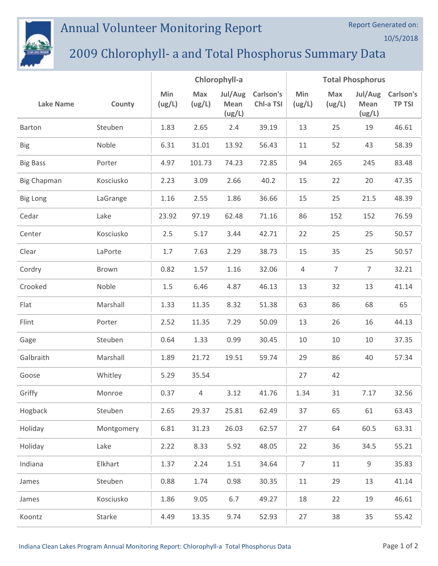## Annual Volunteer Monitoring Report



## 2009 Chlorophyll- a and Total Phosphorus Summary Data

|                    |            | Chlorophyll-a |               |                           |                        | <b>Total Phosphorus</b> |                |                           |                                   |  |
|--------------------|------------|---------------|---------------|---------------------------|------------------------|-------------------------|----------------|---------------------------|-----------------------------------|--|
| <b>Lake Name</b>   | County     | Min<br>(ug/L) | Max<br>(ug/L) | Jul/Aug<br>Mean<br>(ug/L) | Carlson's<br>Chl-a TSI | Min<br>(ug/L)           | Max<br>(ug/L)  | Jul/Aug<br>Mean<br>(ug/L) | <b>Carlson's</b><br><b>TP TSI</b> |  |
| Barton             | Steuben    | 1.83          | 2.65          | 2.4                       | 39.19                  | 13                      | 25             | 19                        | 46.61                             |  |
| <b>Big</b>         | Noble      | 6.31          | 31.01         | 13.92                     | 56.43                  | 11                      | 52             | 43                        | 58.39                             |  |
| <b>Big Bass</b>    | Porter     | 4.97          | 101.73        | 74.23                     | 72.85                  | 94                      | 265            | 245                       | 83.48                             |  |
| <b>Big Chapman</b> | Kosciusko  | 2.23          | 3.09          | 2.66                      | 40.2                   | 15                      | 22             | 20                        | 47.35                             |  |
| <b>Big Long</b>    | LaGrange   | 1.16          | 2.55          | 1.86                      | 36.66                  | 15                      | 25             | 21.5                      | 48.39                             |  |
| Cedar              | Lake       | 23.92         | 97.19         | 62.48                     | 71.16                  | 86                      | 152            | 152                       | 76.59                             |  |
| Center             | Kosciusko  | 2.5           | 5.17          | 3.44                      | 42.71                  | 22                      | 25             | 25                        | 50.57                             |  |
| Clear              | LaPorte    | 1.7           | 7.63          | 2.29                      | 38.73                  | 15                      | 35             | 25                        | 50.57                             |  |
| Cordry             | Brown      | 0.82          | 1.57          | 1.16                      | 32.06                  | $\overline{4}$          | $\overline{7}$ | $\overline{7}$            | 32.21                             |  |
| Crooked            | Noble      | 1.5           | 6.46          | 4.87                      | 46.13                  | 13                      | 32             | 13                        | 41.14                             |  |
| Flat               | Marshall   | 1.33          | 11.35         | 8.32                      | 51.38                  | 63                      | 86             | 68                        | 65                                |  |
| Flint              | Porter     | 2.52          | 11.35         | 7.29                      | 50.09                  | 13                      | 26             | 16                        | 44.13                             |  |
| Gage               | Steuben    | 0.64          | 1.33          | 0.99                      | 30.45                  | 10                      | 10             | 10                        | 37.35                             |  |
| Galbraith          | Marshall   | 1.89          | 21.72         | 19.51                     | 59.74                  | 29                      | 86             | 40                        | 57.34                             |  |
| Goose              | Whitley    | 5.29          | 35.54         |                           |                        | 27                      | 42             |                           |                                   |  |
| Griffy             | Monroe     | 0.37          | 4             | 3.12                      | 41.76                  | 1.34                    | 31             | 7.17                      | 32.56                             |  |
| Hogback            | Steuben    | 2.65          | 29.37         | 25.81                     | 62.49                  | 37                      | 65             | 61                        | 63.43                             |  |
| Holiday            | Montgomery | 6.81          | 31.23         | 26.03                     | 62.57                  | 27                      | 64             | 60.5                      | 63.31                             |  |
| Holiday            | Lake       | 2.22          | 8.33          | 5.92                      | 48.05                  | 22                      | 36             | 34.5                      | 55.21                             |  |
| Indiana            | Elkhart    | 1.37          | 2.24          | 1.51                      | 34.64                  | $\overline{7}$          | 11             | 9                         | 35.83                             |  |
| James              | Steuben    | 0.88          | 1.74          | 0.98                      | 30.35                  | 11                      | 29             | 13                        | 41.14                             |  |
| James              | Kosciusko  | 1.86          | 9.05          | 6.7                       | 49.27                  | 18                      | 22             | 19                        | 46.61                             |  |
| Koontz             | Starke     | 4.49          | 13.35         | 9.74                      | 52.93                  | 27                      | 38             | 35                        | 55.42                             |  |

Report Generated on:

10/5/2018